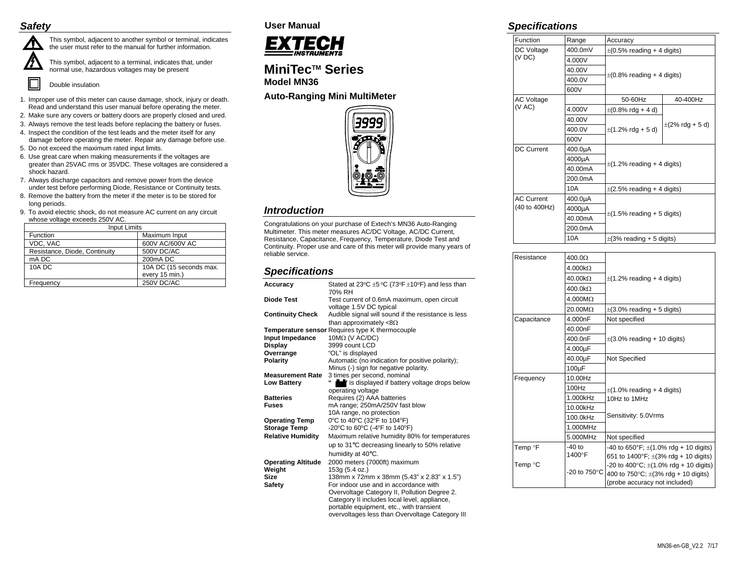## *Safety*



This symbol, adjacent to another symbol or terminal, indicates the user must refer to the manual for further information.

This symbol, adjacent to a terminal, indicates that, under normal use, hazardous voltages may be present

Double insulation

- 1. Improper use of this meter can cause damage, shock, injury or death. Read and understand this user manual before operating the meter.
- 2. Make sure any covers or battery doors are properly closed and ured.
- 3. Always remove the test leads before replacing the battery or fuses.
- 4. Inspect the condition of the test leads and the meter itself for any damage before operating the meter. Repair any damage before use.
- 5. Do not exceed the maximum rated input limits.
- 6. Use great care when making measurements if the voltages are greater than 25VAC rms or 35VDC. These voltages are considered a shock hazard.
- 7. Always discharge capacitors and remove power from the device under test before performing Diode, Resistance or Continuity tests.
- 8. Remove the battery from the meter if the meter is to be stored for long periods.
- 9. To avoid electric shock, do not measure AC current on any circuit whose voltage exceeds 250V AC.

| <b>Input Limits</b>           |                         |  |
|-------------------------------|-------------------------|--|
| <b>Function</b>               | Maximum Input           |  |
| VDC, VAC                      | 600V AC/600V AC         |  |
| Resistance, Diode, Continuity | 500V DC/AC              |  |
| mA DC                         | 200mA DC                |  |
| <b>10A DC</b>                 | 10A DC (15 seconds max. |  |
|                               | every 15 min.)          |  |
| Frequency                     | 250V DC/AC              |  |

# **User Manual**



# **MiniTecTM Series Model MN36**

## **Auto-Ranging Mini MultiMeter**



# *Introduction*

Congratulations on your purchase of Extech's MN36 Auto-Ranging Multimeter. This meter measures AC/DC Voltage, AC/DC Current, Resistance, Capacitance, Frequency, Temperature, Diode Test and Continuity. Proper use and care of this meter will provide many years of reliable service.

# *Specifications*

| Accuracy                  | Stated at 23°C $\pm$ 5 °C (73°F $\pm$ 10°F) and less than |
|---------------------------|-----------------------------------------------------------|
|                           | 70% RH                                                    |
| Diode Test                | Test current of 0.6mA maximum, open circuit               |
|                           | voltage 1.5V DC typical                                   |
| <b>Continuity Check</b>   | Audible signal will sound if the resistance is less       |
|                           | than approximately $<8\Omega$                             |
|                           | Temperature sensor Requires type K thermocouple           |
| Input Impedance           | $10MΩ$ (V AC/DC)                                          |
| Display                   | 3999 count LCD                                            |
| Overrange                 | "OL" is displayed                                         |
| <b>Polarity</b>           | Automatic (no indication for positive polarity);          |
|                           | Minus (-) sign for negative polarity.                     |
| <b>Measurement Rate</b>   | 3 times per second, nominal                               |
| <b>Low Battery</b>        | is displayed if battery voltage drops below               |
|                           | operating voltage                                         |
| <b>Batteries</b>          | Requires (2) AAA batteries                                |
| <b>Fuses</b>              | mA range; 250mA/250V fast blow                            |
|                           | 10A range, no protection                                  |
| <b>Operating Temp</b>     | 0°C to 40°C (32°F to 104°F)                               |
| <b>Storage Temp</b>       | -20°C to 60°C (-4°F to 140°F)                             |
|                           |                                                           |
| <b>Relative Humidity</b>  | Maximum relative humidity 80% for temperatures            |
|                           | up to 31°C decreasing linearly to 50% relative            |
|                           | humidity at 40°C.                                         |
| <b>Operating Altitude</b> | 2000 meters (7000ft) maximum                              |
| Weight                    | 153g (5.4 oz.)                                            |
| Size                      | 138mm x 72mm x 38mm (5.43" x 2.83" x 1.5")                |
| Safety                    | For indoor use and in accordance with                     |
|                           | Overvoltage Category II, Pollution Degree 2.              |
|                           | Category II includes local level, appliance,              |
|                           | portable equipment, etc., with transient                  |
|                           | overvoltages less than Overvoltage Category III           |
|                           |                                                           |

## *Specifications*

| Function                           | Range   | Accuracy                                |                      |
|------------------------------------|---------|-----------------------------------------|----------------------|
| DC Voltage<br>(VDC)                | 400.0mV | $\pm$ (0.5% reading + 4 digits)         |                      |
|                                    | 4.000V  | $\pm$ (0.8% reading + 4 digits)         |                      |
|                                    | 40.00V  |                                         |                      |
|                                    | 400.0V  |                                         |                      |
|                                    | 600V    |                                         |                      |
| <b>AC Voltage</b>                  |         | 50-60Hz                                 | 40-400Hz             |
| (V AC)                             | 4.000V  | $\pm (0.8\% \text{ rdg} + 4 \text{ d})$ | $\pm$ (2% rdg + 5 d) |
|                                    | 40.00V  |                                         |                      |
|                                    | 400.0V  | $\pm$ (1.2% rdg + 5 d)                  |                      |
|                                    | 600V    |                                         |                      |
| <b>DC Current</b>                  | 400.0µA |                                         |                      |
|                                    | 4000µA  |                                         |                      |
|                                    | 40.00mA | $\pm$ (1.2% reading + 4 digits)         |                      |
|                                    | 200.0mA |                                         |                      |
|                                    | 10A     | $\pm$ (2.5% reading + 4 digits)         |                      |
| <b>AC Current</b><br>(40 to 400Hz) | 400.0µA | $\pm$ (1.5% reading + 5 digits)         |                      |
|                                    | 4000µA  |                                         |                      |
|                                    | 40.00mA |                                         |                      |
|                                    | 200.0mA |                                         |                      |
|                                    | 10A     | $\pm$ (3% reading + 5 digits)           |                      |

| Resistance          | 400.0 <omega< td=""><td></td></omega<> |                                                       |  |
|---------------------|----------------------------------------|-------------------------------------------------------|--|
|                     | $4.000k\Omega$                         | $\pm$ (1.2% reading + 4 digits)                       |  |
|                     | $40.00k\Omega$                         |                                                       |  |
|                     | $400.0 k\Omega$                        |                                                       |  |
|                     | $4.000M\Omega$                         |                                                       |  |
|                     | 20.00MΩ                                | $\pm$ (3.0% reading + 5 digits)                       |  |
| Capacitance         | 4.000nF                                | Not specified                                         |  |
|                     | 40.00nF                                | $\pm$ (3.0% reading + 10 digits)                      |  |
|                     | 400.0nF                                |                                                       |  |
|                     | 4.000µF                                |                                                       |  |
|                     | 40.00µF                                | Not Specified                                         |  |
|                     | $100\mu F$                             |                                                       |  |
| Frequency           | 10.00Hz                                |                                                       |  |
|                     | 100Hz                                  | $\pm$ (1.0% reading + 4 digits)                       |  |
|                     | 1.000kHz                               | 10Hz to 1MHz                                          |  |
|                     | 10.00kHz                               |                                                       |  |
|                     | 100.0kHz                               | Sensitivity: 5.0Vrms                                  |  |
|                     | 1.000MHz                               |                                                       |  |
|                     | 5.000MHz                               | Not specified                                         |  |
| Temp <sup>o</sup> F | -40 to<br>1400°F                       | -40 to 650°F; $\pm$ (1.0% rdg + 10 digits)            |  |
|                     |                                        | 651 to 1400°F; $\pm$ (3% rdg + 10 digits)             |  |
| Temp °C             | -20 to $750^{\circ}$ C                 | -20 to 400 $^{\circ}$ C; $\pm$ (1.0% rdg + 10 digits) |  |
|                     |                                        | 400 to 750 $^{\circ}$ C; $\pm$ (3% rdg + 10 digits)   |  |
|                     |                                        | (probe accuracy not included)                         |  |